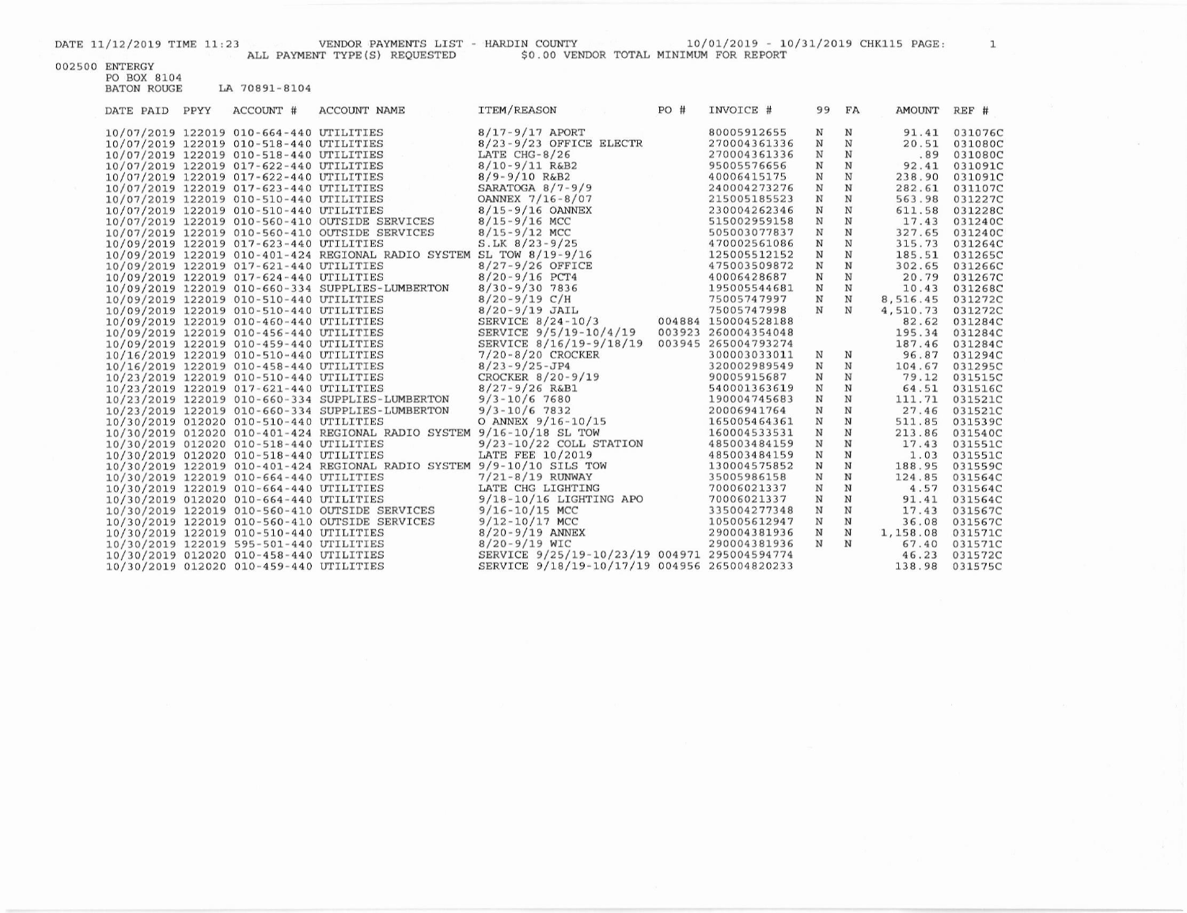ALL PAYMENT TYPE(S) REQUESTED

DATE 11/12/2019 TIME 11:23 VENDOR PAYMENTS LIST - HARDIN COUNTY - HARDIN COUNTY  $10/01/2019$  -  $10/31/2019$  CHK115 PAGE:  $1\,$   $50.00$  VENDOR TOTAL MINIMUM FOR REPORT

002500 ENTERGY

PO BOX 8104 **BATON ROUGE** LA 70891-8104

| DATE PAID PPYY | ACCOUNT #                               | <b>ACCOUNT NAME</b>                                                    | ITEM/REASON                                  | PO# | INVOICE #           | 99 FA       |             | AMOUNT   | REF #   |
|----------------|-----------------------------------------|------------------------------------------------------------------------|----------------------------------------------|-----|---------------------|-------------|-------------|----------|---------|
|                | 10/07/2019 122019 010-664-440 UTILITIES |                                                                        | $8/17 - 9/17$ APORT                          |     | 80005912655         | N           | N           | 91.41    | 031076C |
|                | 10/07/2019 122019 010-518-440 UTILITIES |                                                                        | $8/23 - 9/23$ OFFICE ELECTR                  |     | 270004361336        | N           | N           | 20.51    | 031080C |
|                | 10/07/2019 122019 010-518-440 UTILITIES |                                                                        | LATE $CHG-8/26$                              |     | 270004361336        | N           | N           | .89      | 031080C |
|                | 10/07/2019 122019 017-622-440 UTILITIES |                                                                        | $8/10 - 9/11$ R&B2                           |     | 95005576656         | N           | N           | 92.41    | 031091C |
|                | 10/07/2019 122019 017-622-440 UTILITIES |                                                                        | $8/9 - 9/10$ R&B2                            |     | 40006415175         | $\mathbf N$ | $\mathbf N$ | 238.90   | 031091C |
|                | 10/07/2019 122019 017-623-440 UTILITIES |                                                                        | SARATOGA $8/7-9/9$                           |     | 240004273276        | N           | N           | 282.61   | 031107C |
|                | 10/07/2019 122019 010-510-440 UTILITIES |                                                                        | OANNEX 7/16-8/07                             |     | 215005185523        | $\mathbf N$ | $\mathbf N$ | 563.98   | 031227C |
|                | 10/07/2019 122019 010-510-440 UTILITIES |                                                                        | $8/15 - 9/16$ OANNEX                         |     | 230004262346        | $\mathbf N$ | $\mathbf N$ | 611.58   | 031228C |
|                |                                         | 10/07/2019 122019 010-560-410 OUTSIDE SERVICES                         | $8/15 - 9/16$ MCC                            |     | 515002959158        | $\mathbf N$ | $\mathbf N$ | 17.43    | 031240C |
|                |                                         | 10/07/2019 122019 010-560-410 OUTSIDE SERVICES                         | $8/15 - 9/12$ MCC                            |     | 505003077837        | N           | $\mathbf N$ | 327.65   | 031240C |
|                | 10/09/2019 122019 017-623-440 UTILITIES |                                                                        | $S.LK 8/23-9/25$                             |     | 470002561086        | $\mathbf N$ | $\mathbb N$ | 315.73   | 031264C |
|                |                                         | 10/09/2019 122019 010-401-424 REGIONAL RADIO SYSTEM SL TOW 8/19-9/16   |                                              |     | 125005512152        | $\mathbf N$ | $\mathbf N$ | 185.51   | 031265C |
|                | 10/09/2019 122019 017-621-440 UTILITIES |                                                                        | $8/27 - 9/26$ OFFICE                         |     | 475003509872        | $\mathbf N$ | $\mathbf N$ | 302.65   | 031266C |
|                | 10/09/2019 122019 017-624-440 UTILITIES |                                                                        | $8/20 - 9/16$ PCT4                           |     | 40006428687         | N           | N           | 20.79    | 031267C |
|                |                                         | 10/09/2019 122019 010-660-334 SUPPLIES-LUMBERTON                       | $8/30 - 9/30$ 7836                           |     | 195005544681        | N           | N           | 10.43    | 031268C |
|                | 10/09/2019 122019 010-510-440 UTILITIES |                                                                        | $8/20 - 9/19$ C/H                            |     | 75005747997         | $\mathbf N$ | $\mathbf N$ | 8,516.45 | 031272C |
|                | 10/09/2019 122019 010-510-440 UTILITIES |                                                                        | $8/20 - 9/19$ JAIL                           |     | 75005747998         | $_{\rm N}$  | N           | 4,510.73 | 031272C |
|                | 10/09/2019 122019 010-460-440 UTILITIES |                                                                        | SERVICE $8/24-10/3$                          |     | 004884 150004528188 |             |             | 82.62    | 031284C |
|                | 10/09/2019 122019 010-456-440 UTILITIES |                                                                        | SERVICE 9/5/19-10/4/19                       |     | 003923 260004354048 |             |             | 195.34   | 031284C |
|                | 10/09/2019 122019 010-459-440 UTILITIES |                                                                        | SERVICE 8/16/19-9/18/19                      |     | 003945 265004793274 |             |             | 187.46   | 031284C |
|                | 10/16/2019 122019 010-510-440 UTILITIES |                                                                        | $7/20 - 8/20$ CROCKER                        |     | 300003033011        | N           | N           | 96.87    | 031294C |
|                | 10/16/2019 122019 010-458-440 UTILITIES |                                                                        | $8/23 - 9/25 - JP4$                          |     | 320002989549        | $\mathbf N$ | $_{\rm N}$  | 104.67   | 031295C |
|                | 10/23/2019 122019 010-510-440 UTILITIES |                                                                        | CROCKER 8/20-9/19                            |     | 90005915687         | N           | N           | 79.12    | 031515C |
|                | 10/23/2019 122019 017-621-440 UTILITIES |                                                                        | $8/27 - 9/26$ R&B1                           |     | 540001363619        | $\mathbf N$ | N           | 64.51    | 031516C |
|                |                                         | 10/23/2019 122019 010-660-334 SUPPLIES-LUMBERTON                       | $9/3 - 10/6$ 7680                            |     | 190004745683        | N           | $\mathbf N$ | 111.71   | 031521C |
|                |                                         | 10/23/2019 122019 010-660-334 SUPPLIES-LUMBERTON                       | $9/3 - 10/6$ 7832                            |     | 20006941764         | $\mathbf N$ | $\mathbf N$ | 27.46    | 031521C |
|                | 10/30/2019 012020 010-510-440 UTILITIES |                                                                        | O ANNEX 9/16-10/15                           |     | 165005464361        | $_{\rm N}$  | $\mathbf N$ | 511.85   | 031539C |
|                |                                         | 10/30/2019 012020 010-401-424 REGIONAL RADIO SYSTEM 9/16-10/18 SL TOW  |                                              |     | 160004533531        | $\mathbf N$ | $_{\rm N}$  | 213.86   | 031540C |
|                | 10/30/2019 012020 010-518-440 UTILITIES |                                                                        | $9/23 - 10/22$ COLL STATION                  |     | 485003484159        | N           | $\mathbf N$ | 17.43    | 031551C |
|                | 10/30/2019 012020 010-518-440 UTILITIES |                                                                        | LATE FEE 10/2019                             |     | 485003484159        | $\mathbb N$ | $\mathbf N$ | 1.03     | 031551C |
|                |                                         | 10/30/2019 122019 010-401-424 REGIONAL RADIO SYSTEM 9/9-10/10 SILS TOW |                                              |     | 130004575852        | N           | N           | 188.95   | 031559C |
|                | 10/30/2019 122019 010-664-440 UTILITIES |                                                                        | $7/21 - 8/19$ RUNWAY                         |     | 35005986158         | $_{\rm N}$  | N           | 124.85   | 031564C |
|                | 10/30/2019 122019 010-664-440 UTILITIES |                                                                        | LATE CHG LIGHTING                            |     | 70006021337         | $\mathbf N$ | $\mathbf N$ | 4.57     | 031564C |
|                | 10/30/2019 012020 010-664-440 UTILITIES |                                                                        | $9/18 - 10/16$ LIGHTING APO                  |     | 70006021337         | $\mathbf N$ | $\mathbf N$ | 91.41    | 031564C |
|                |                                         | 10/30/2019 122019 010-560-410 OUTSIDE SERVICES                         | $9/16 - 10/15$ MCC                           |     | 335004277348        | $\mathbf N$ | $\mathbf N$ | 17.43    | 031567C |
|                |                                         | 10/30/2019 122019 010-560-410 OUTSIDE SERVICES                         | $9/12 - 10/17$ MCC                           |     | 105005612947        | $\mathbf N$ | $\mathbf N$ | 36.08    | 031567C |
|                | 10/30/2019 122019 010-510-440 UTILITIES |                                                                        | $8/20 - 9/19$ ANNEX                          |     | 290004381936        | $\mathbf N$ | $\mathbf N$ | 1,158.08 | 031571C |
|                | 10/30/2019 122019 595-501-440 UTILITIES |                                                                        | $8/20 - 9/19$ WIC                            |     | 290004381936        | $_{\rm N}$  | N           | 67.40    | 031571C |
|                | 10/30/2019 012020 010-458-440 UTILITIES |                                                                        | SERVICE 9/25/19-10/23/19 004971 295004594774 |     |                     |             |             | 46.23    | 031572C |
|                | 10/30/2019 012020 010-459-440 UTILITIES |                                                                        | SERVICE 9/18/19-10/17/19 004956 265004820233 |     |                     |             |             | 138.98   | 031575C |
|                |                                         |                                                                        |                                              |     |                     |             |             |          |         |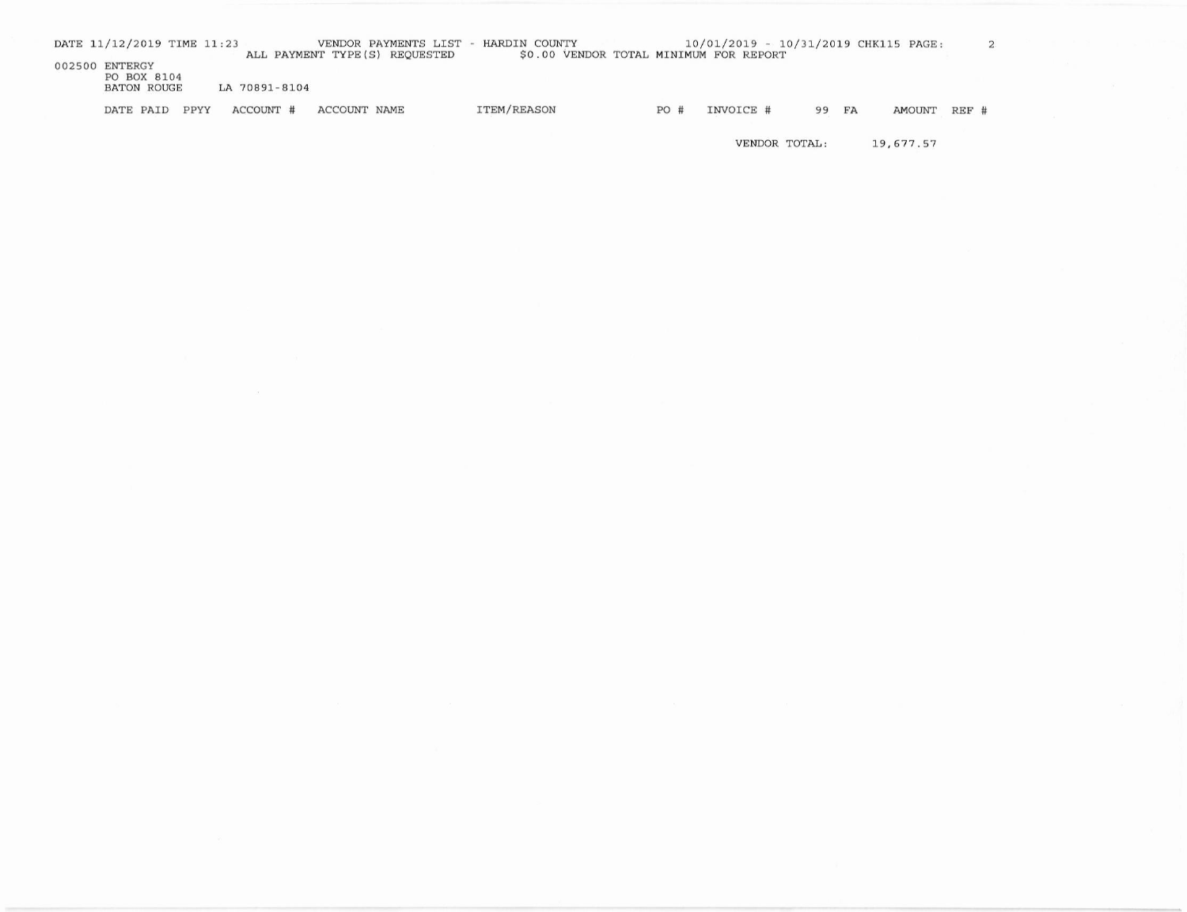| DATE 11/12/2019 TIME 11:23    |               |              | VENDOR PAYMENTS LIST -<br>ALL PAYMENT TYPE(S) REQUESTED | HARDIN COUNTY      |  |     | 10/01/2019 - 10/31/2019 CHK115 PAGE:<br>\$0.00 VENDOR TOTAL MINIMUM FOR REPORT |       |        |         |  |
|-------------------------------|---------------|--------------|---------------------------------------------------------|--------------------|--|-----|--------------------------------------------------------------------------------|-------|--------|---------|--|
| 002500 ENTERGY<br>PO BOX 8104 |               |              |                                                         |                    |  |     |                                                                                |       |        |         |  |
| <b>BATON ROUGE</b>            | LA 70891-8104 |              |                                                         |                    |  |     |                                                                                |       |        |         |  |
| DATE PAID PPYY                | ACCOUNT #     | ACCOUNT NAME |                                                         | <b>ITEM/REASON</b> |  | PO# | INVOICE #                                                                      | 99 FA | AMOUNT | $REF$ # |  |

VENDOR TOTAL: 19,677.57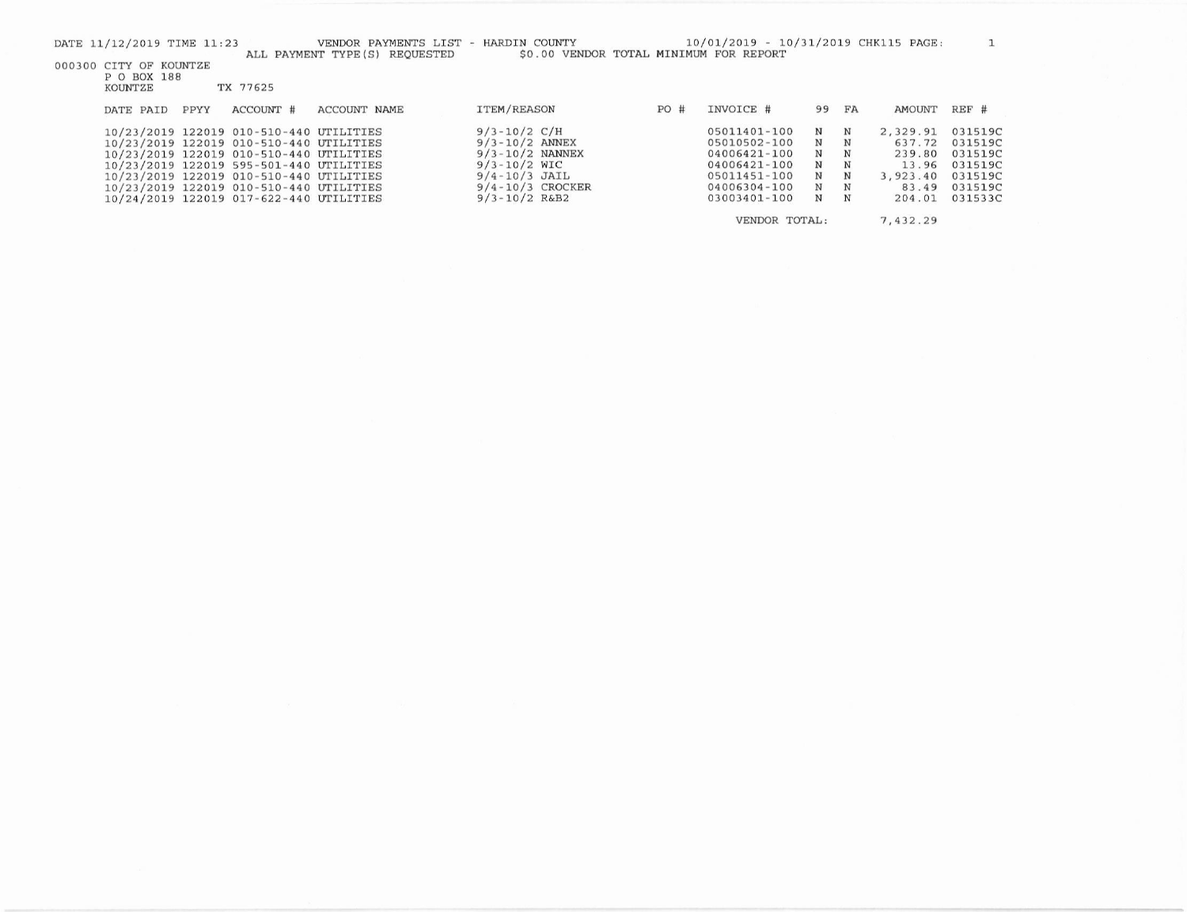|  | P O BOX 188 |  |          |
|--|-------------|--|----------|
|  | KOUNTZE     |  | TX 77625 |

| DATE PAID | PPYY | ACCOUNT #                                                                                                                                                                                                                                                                                                 | ACCOUNT NAME | ITEM/REASON                                                                                                                                         | PO# | INVOICE #                                                                                                    | 99 FA                           |                                                                                 | AMOUNT                                                               | REF #                                                                     |
|-----------|------|-----------------------------------------------------------------------------------------------------------------------------------------------------------------------------------------------------------------------------------------------------------------------------------------------------------|--------------|-----------------------------------------------------------------------------------------------------------------------------------------------------|-----|--------------------------------------------------------------------------------------------------------------|---------------------------------|---------------------------------------------------------------------------------|----------------------------------------------------------------------|---------------------------------------------------------------------------|
|           |      | 10/23/2019 122019 010-510-440 UTILITIES<br>10/23/2019 122019 010-510-440 UTILITIES<br>10/23/2019 122019 010-510-440 UTILITIES<br>10/23/2019 122019 595-501-440 UTILITIES<br>10/23/2019 122019 010-510-440 UTILITIES<br>10/23/2019 122019 010-510-440 UTILITIES<br>10/24/2019 122019 017-622-440 UTILITIES |              | $9/3 - 10/2$ C/H<br>$9/3 - 10/2$ ANNEX<br>$9/3 - 10/2$ NANNEX<br>$9/3 - 10/2$ WIC<br>$9/4 - 10/3$ JAIL<br>$9/4 - 10/3$ CROCKER<br>$9/3 - 10/2$ R&B2 |     | 05011401-100<br>05010502-100<br>04006421-100<br>04006421-100<br>05011451-100<br>04006304-100<br>03003401-100 | N<br>N<br>N<br>N<br>N<br>N<br>N | $\mathbf N$<br>$_{\rm N}$<br>$\mathbf N$<br>N<br>N<br>$_{\rm N}$<br>$\mathbf N$ | 2.329.91<br>637.72<br>239.80<br>13.96<br>3.923.40<br>83.49<br>204.01 | 031519C<br>031519C<br>031519C<br>031519C<br>031519C<br>031519C<br>031533C |

VENDOR TOTAL: 7,432.29  $\mathbf{1}$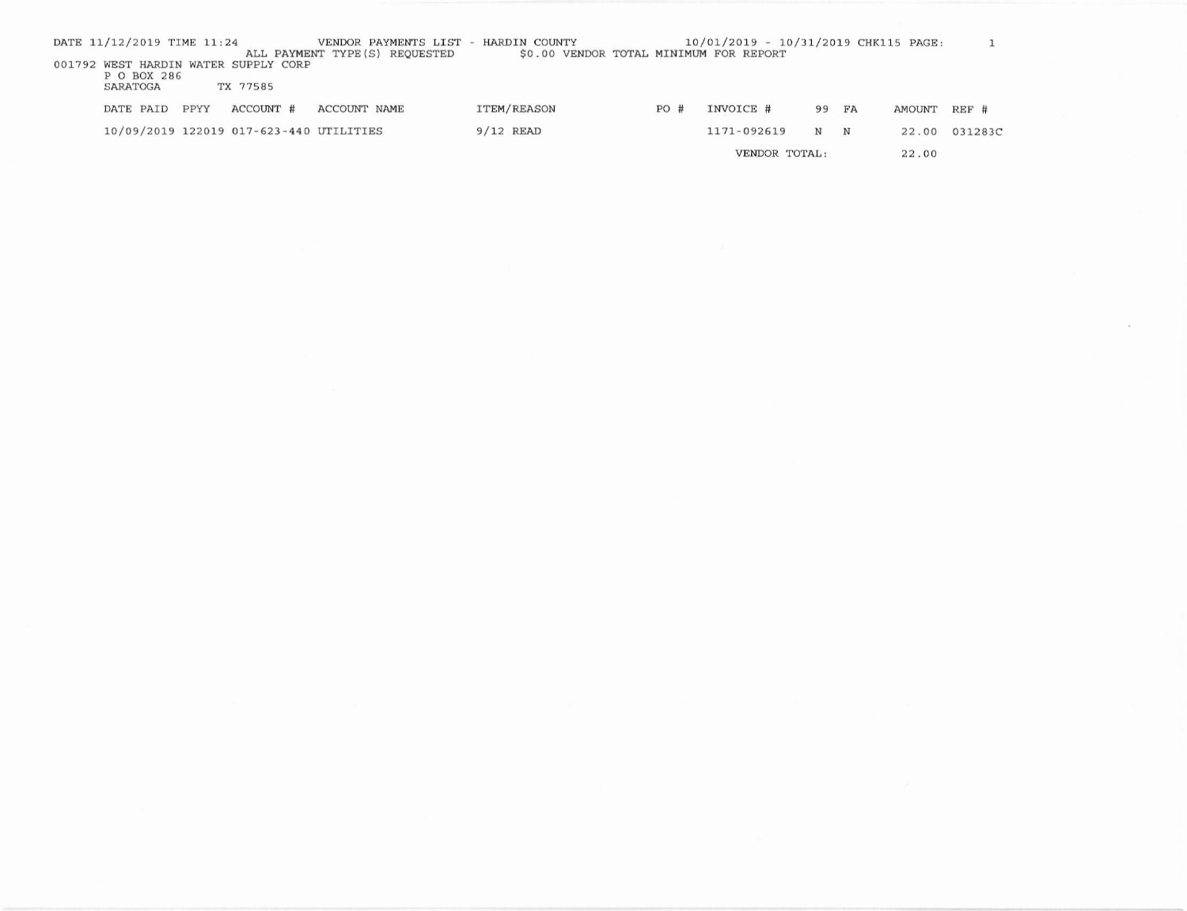| DATE 11/12/2019 TIME 11:24                                      |      |                                         | VENDOR PAYMENTS LIST - HARDIN COUNTY |                                        |     | 10/01/2019 - 10/31/2019 CHK115 PAGE: |       |        |         |
|-----------------------------------------------------------------|------|-----------------------------------------|--------------------------------------|----------------------------------------|-----|--------------------------------------|-------|--------|---------|
| 001792 WEST HARDIN WATER SUPPLY CORP<br>P O BOX 286<br>SARATOGA |      | TX 77585                                | ALL PAYMENT TYPE (S) REOUESTED       | \$0.00 VENDOR TOTAL MINIMUM FOR REPORT |     |                                      |       |        |         |
| DATE PAID                                                       | PPYY | ACCOUNT #                               | ACCOUNT NAME                         | ITEM/REASON                            | PO# | INVOICE #                            | 99 FA | AMOUNT | REF #   |
|                                                                 |      | 10/09/2019 122019 017-623-440 UTILITIES |                                      | $9/12$ READ                            |     | 1171-092619                          | N N   | 22.00  | 031283C |
|                                                                 |      |                                         |                                      |                                        |     | VENDOR TOTAL:                        |       | 22.00  |         |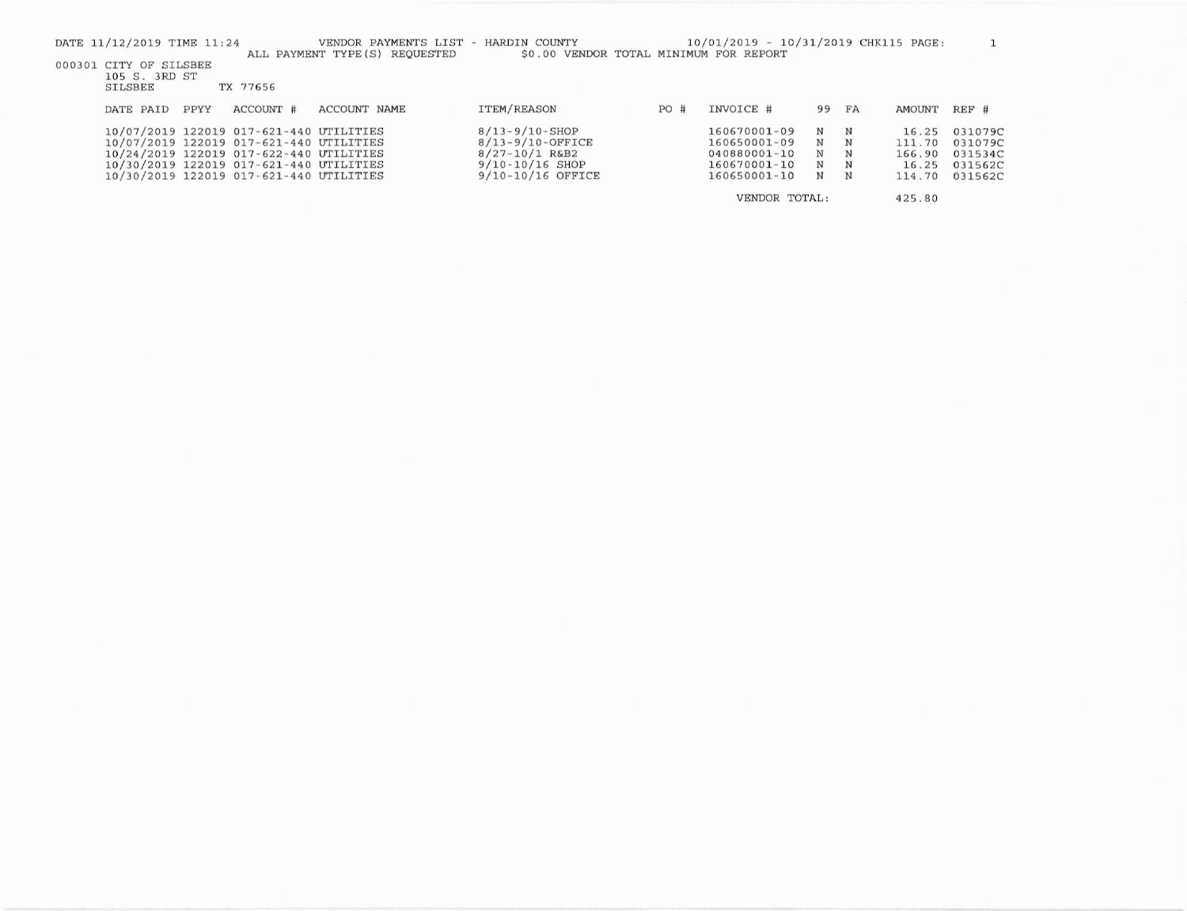| DATE 11/12/2019 TIME 11:24                                |      |                                         | VENDOR PAYMENTS LIST - HARDIN COUNTY<br>ALL PAYMENT TYPE (S) REQUESTED | \$0.00 VENDOR TOTAL MINIMUM FOR REPORT |      | 10/01/2019 - 10/31/2019 CHK115 PAGE: |       |            |               |         |
|-----------------------------------------------------------|------|-----------------------------------------|------------------------------------------------------------------------|----------------------------------------|------|--------------------------------------|-------|------------|---------------|---------|
| 000301 CITY OF SILSBEE<br>105 S. 3RD ST<br><b>SILSBEE</b> |      | TX 77656                                |                                                                        |                                        |      |                                      |       |            |               |         |
| DATE PAID                                                 | PPYY | ACCOUNT #                               | ACCOUNT NAME                                                           | ITEM/REASON                            | PO # | INVOICE #                            | 99 FA |            | <b>AMOUNT</b> | REF #   |
|                                                           |      | 10/07/2019 122019 017-621-440 UTILITIES |                                                                        | $8/13 - 9/10 - SHOP$                   |      | 160670001-09                         | N     | $_{\rm N}$ | 16.25         | 031079C |
|                                                           |      | 10/07/2019 122019 017-621-440 UTILITIES |                                                                        | $8/13 - 9/10 - OFFICE$                 |      | 160650001-09                         | N     | N          | 111.70        | 031079C |
|                                                           |      | 10/24/2019 122019 017-622-440 UTILITIES |                                                                        | $8/27 - 10/1$ R&B2                     |      | 040880001-10                         | N     | N          | 166.90        | 031534C |
|                                                           |      | 10/30/2019 122019 017-621-440 UTILITIES |                                                                        | $9/10 - 10/16$ SHOP                    |      | 160670001-10                         | N     | N          | 16.25         | 031562C |
|                                                           |      | 10/30/2019 122019 017-621-440 UTILITIES |                                                                        | 9/10-10/16 OFFICE                      |      | 160650001-10                         | N     | N          | 114.70        | 031562C |
|                                                           |      |                                         |                                                                        |                                        |      | VENDOR TOTAL:                        |       |            | 425.80        |         |